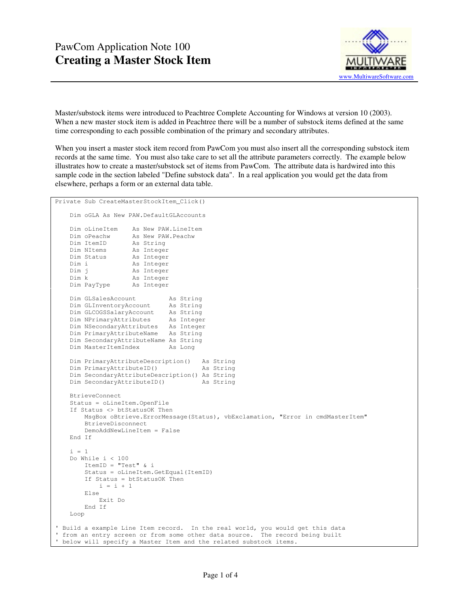

Master/substock items were introduced to Peachtree Complete Accounting for Windows at version 10 (2003). When a new master stock item is added in Peachtree there will be a number of substock items defined at the same time corresponding to each possible combination of the primary and secondary attributes.

When you insert a master stock item record from PawCom you must also insert all the corresponding substock item records at the same time. You must also take care to set all the attribute parameters correctly. The example below illustrates how to create a master/substock set of items from PawCom. The attribute data is hardwired into this sample code in the section labeled "Define substock data". In a real application you would get the data from elsewhere, perhaps a form or an external data table.

```
Private Sub CreateMasterStockItem_Click() 
    Dim oGLA As New PAW.DefaultGLAccounts 
   Dim oLineItem As New PAW.LineItem<br>Dim oPeachw As New PAW.Peachw
                  As New PAW.Peachw
 Dim ItemID As String 
 Dim NItems As Integer 
 Dim Status As Integer 
 Dim i As Integer 
   Dim i As Integer<br>
Dim j As Integer<br>
Dim k As Integer
                   As Integer
    Dim PayType As Integer 
    Dim GLSalesAccount As String 
    Dim GLInventoryAccount As String 
 Dim GLCOGSSalaryAccount As String 
 Dim NPrimaryAttributes As Integer 
    Dim NSecondaryAttributes As Integer 
    Dim PrimaryAttributeName As String 
    Dim SecondaryAttributeName As String 
   Dim MasterItemIndex As Long
    Dim PrimaryAttributeDescription() As String 
    Dim PrimaryAttributeID() As String 
    Dim SecondaryAttributeDescription() As String 
   Dim SecondaryAttributeID() As String
    BtrieveConnect 
    Status = oLineItem.OpenFile 
    If Status <> btStatusOK Then 
        MsgBox oBtrieve.ErrorMessage(Status), vbExclamation, "Error in cmdMasterItem" 
        BtrieveDisconnect 
        DemoAddNewLineItem = False 
    End If 
   i = 1 Do While i < 100 
         ItemID = "Test" & i 
         Status = oLineItem.GetEqual(ItemID) 
        If Status = btStatusOK Then 
           i = i + 1 Else 
            Exit Do 
        End If 
    Loop 
' Build a example Line Item record. In the real world, you would get this data 
' from an entry screen or from some other data source. The record being built 
 ' below will specify a Master Item and the related substock items.
```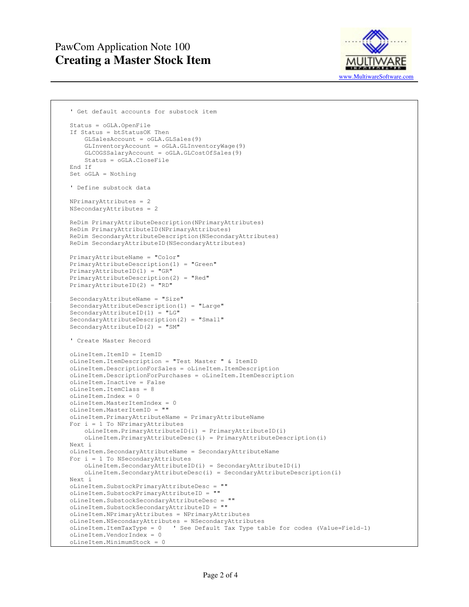## PawCom Application Note 100 **Creating a Master Stock Item**



```
 ' Get default accounts for substock item 
 Status = oGLA.OpenFile 
 If Status = btStatusOK Then 
     GLSalesAccount = oGLA.GLSales(9) 
     GLInventoryAccount = oGLA.GLInventoryWage(9) 
     GLCOGSSalaryAccount = oGLA.GLCostOfSales(9)
     Status = oGLA.CloseFile 
 End If 
 Set oGLA = Nothing 
 ' Define substock data 
 NPrimaryAttributes = 2 
 NSecondaryAttributes = 2 
 ReDim PrimaryAttributeDescription(NPrimaryAttributes) 
 ReDim PrimaryAttributeID(NPrimaryAttributes) 
 ReDim SecondaryAttributeDescription(NSecondaryAttributes) 
 ReDim SecondaryAttributeID(NSecondaryAttributes) 
 PrimaryAttributeName = "Color" 
 PrimaryAttributeDescription(1) = "Green" 
 PrimaryAttributeID(1) = "GR" 
 PrimaryAttributeDescription(2) = "Red" 
 PrimaryAttributeID(2) = "RD" 
 SecondaryAttributeName = "Size" 
 SecondaryAttributeDescription(1) = "Large" 
 SecondaryAttributeID(1) = "LG" 
 SecondaryAttributeDescription(2) = "Small" 
 SecondaryAttributeID(2) = "SM" 
 ' Create Master Record 
 oLineItem.ItemID = ItemID 
 oLineItem.ItemDescription = "Test Master " & ItemID 
 oLineItem.DescriptionForSales = oLineItem.ItemDescription 
 oLineItem.DescriptionForPurchases = oLineItem.ItemDescription 
 oLineItem.Inactive = False 
 oLineItem.ItemClass = 8 
 oLineItem.Index = 0 
 oLineItem.MasterItemIndex = 0 
 oLineItem.MasterItemID = "" 
 oLineItem.PrimaryAttributeName = PrimaryAttributeName 
 For i = 1 To NPrimaryAttributes 
     oLineItem.PrimaryAttributeID(i) = PrimaryAttributeID(i) 
    oLineItem.PrimaryAttributeDesc(i) = PrimaryAttributeDescription(i) 
 Next i 
 oLineItem.SecondaryAttributeName = SecondaryAttributeName 
For i = 1 To NSecondaryAttributes
     oLineItem.SecondaryAttributeID(i) = SecondaryAttributeID(i) 
     oLineItem.SecondaryAttributeDesc(i) = SecondaryAttributeDescription(i) 
 Next i 
 oLineItem.SubstockPrimaryAttributeDesc = "" 
 oLineItem.SubstockPrimaryAttributeID = "" 
 oLineItem.SubstockSecondaryAttributeDesc = "" 
 oLineItem.SubstockSecondaryAttributeID = "" 
 oLineItem.NPrimaryAttributes = NPrimaryAttributes 
 oLineItem.NSecondaryAttributes = NSecondaryAttributes 
 oLineItem.ItemTaxType = 0 ' See Default Tax Type table for codes (Value=Field-1) 
 oLineItem.VendorIndex = 0 
 oLineItem.MinimumStock = 0
```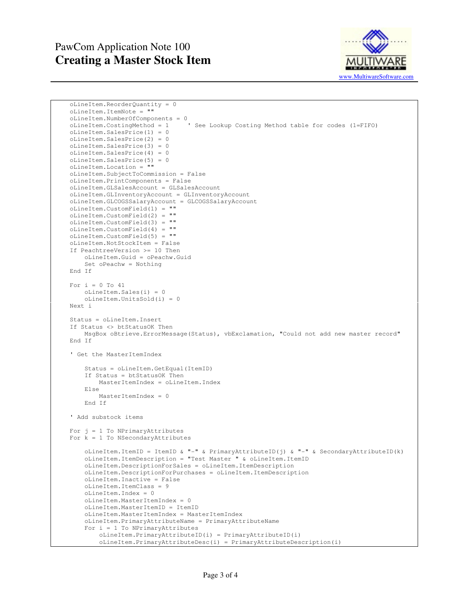## PawCom Application Note 100 **Creating a Master Stock Item**



```
 oLineItem.ReorderQuantity = 0 
 oLineItem.ItemNote = "" 
oLineItem.NumberOfComponents = 0<br>oLineItem.CostingMethod = 1
                                  ' See Lookup Costing Method table for codes (1=FIFO)
 oLineItem.SalesPrice(1) = 0 
 oLineItem.SalesPrice(2) = 0 
 oLineItem.SalesPrice(3) = 0 
 oLineItem.SalesPrice(4) = 0 
 oLineItem.SalesPrice(5) = 0 
 oLineItem.Location = "" 
 oLineItem.SubjectToCommission = False 
 oLineItem.PrintComponents = False 
 oLineItem.GLSalesAccount = GLSalesAccount 
 oLineItem.GLInventoryAccount = GLInventoryAccount 
 oLineItem.GLCOGSSalaryAccount = GLCOGSSalaryAccount 
 oLineItem.CustomField(1) = "" 
 oLineItem.CustomField(2) = "" 
 oLineItem.CustomField(3) = "" 
 oLineItem.CustomField(4) = "" 
 oLineItem.CustomField(5) = "" 
 oLineItem.NotStockItem = False 
 If PeachtreeVersion >= 10 Then 
     oLineItem.Guid = oPeachw.Guid 
     Set oPeachw = Nothing 
 End If 
For i = 0 To 41 oLineItem.Sales(i) = 0 
     oLineItem.UnitsSold(i) = 0 
 Next i 
 Status = oLineItem.Insert 
 If Status <> btStatusOK Then 
    MsgBox oBtrieve.ErrorMessage(Status), vbExclamation, "Could not add new master record" 
 End If 
 ' Get the MasterItemIndex 
     Status = oLineItem.GetEqual(ItemID) 
     If Status = btStatusOK Then 
         MasterItemIndex = oLineItem.Index 
     Else 
         MasterItemIndex = 0 
     End If 
 ' Add substock items 
For j = 1 To NPrimaryAttributes
For k = 1 To NSecondaryAttributes
     oLineItem.ItemID = ItemID & "-" & PrimaryAttributeID(j) & "-" & SecondaryAttributeID(k) 
     oLineItem.ItemDescription = "Test Master " & oLineItem.ItemID 
     oLineItem.DescriptionForSales = oLineItem.ItemDescription 
     oLineItem.DescriptionForPurchases = oLineItem.ItemDescription 
     oLineItem.Inactive = False 
     oLineItem.ItemClass = 9 
     oLineItem.Index = 0 
     oLineItem.MasterItemIndex = 0 
     oLineItem.MasterItemID = ItemID 
     oLineItem.MasterItemIndex = MasterItemIndex
     oLineItem.PrimaryAttributeName = PrimaryAttributeName 
    For i = 1 To NPrimaryAttributes
         oLineItem.PrimaryAttributeID(i) = PrimaryAttributeID(i) 
         oLineItem.PrimaryAttributeDesc(i) = PrimaryAttributeDescription(i)
```